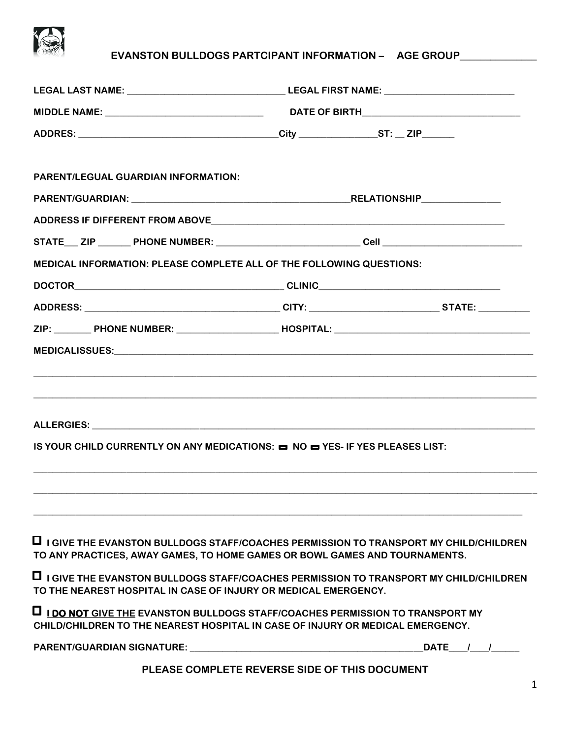

## **EVANSTON BULLDOGS PARTCIPANT INFORMATION – AGE GROUP\_\_\_\_\_\_\_\_\_\_\_\_\_\_\_**

| ADDRES: ___________________________________City __________________ST: __ ZIP______<br><b>PARENT/LEGUAL GUARDIAN INFORMATION:</b><br><b>MEDICAL INFORMATION: PLEASE COMPLETE ALL OF THE FOLLOWING QUESTIONS:</b><br><u> Andreas Andreas Andreas Andreas Andreas Andreas Andreas Andreas Andreas Andreas Andreas Andreas Andreas Andre</u><br>IS YOUR CHILD CURRENTLY ON ANY MEDICATIONS: $\blacksquare$ NO $\blacksquare$ YES- IF YES PLEASES LIST:<br>TO ANY PRACTICES, AWAY GAMES, TO HOME GAMES OR BOWL GAMES AND TOURNAMENTS.                                                          |  |  |  |
|-------------------------------------------------------------------------------------------------------------------------------------------------------------------------------------------------------------------------------------------------------------------------------------------------------------------------------------------------------------------------------------------------------------------------------------------------------------------------------------------------------------------------------------------------------------------------------------------|--|--|--|
|                                                                                                                                                                                                                                                                                                                                                                                                                                                                                                                                                                                           |  |  |  |
|                                                                                                                                                                                                                                                                                                                                                                                                                                                                                                                                                                                           |  |  |  |
|                                                                                                                                                                                                                                                                                                                                                                                                                                                                                                                                                                                           |  |  |  |
|                                                                                                                                                                                                                                                                                                                                                                                                                                                                                                                                                                                           |  |  |  |
|                                                                                                                                                                                                                                                                                                                                                                                                                                                                                                                                                                                           |  |  |  |
|                                                                                                                                                                                                                                                                                                                                                                                                                                                                                                                                                                                           |  |  |  |
|                                                                                                                                                                                                                                                                                                                                                                                                                                                                                                                                                                                           |  |  |  |
|                                                                                                                                                                                                                                                                                                                                                                                                                                                                                                                                                                                           |  |  |  |
|                                                                                                                                                                                                                                                                                                                                                                                                                                                                                                                                                                                           |  |  |  |
|                                                                                                                                                                                                                                                                                                                                                                                                                                                                                                                                                                                           |  |  |  |
|                                                                                                                                                                                                                                                                                                                                                                                                                                                                                                                                                                                           |  |  |  |
| $\Box$ I GIVE THE EVANSTON BULLDOGS STAFF/COACHES PERMISSION TO TRANSPORT MY CHILD/CHILDREN                                                                                                                                                                                                                                                                                                                                                                                                                                                                                               |  |  |  |
| $\Box$ I GIVE THE EVANSTON BULLDOGS STAFF/COACHES PERMISSION TO TRANSPORT MY CHILD/CHILDREN<br>TO THE NEAREST HOSPITAL IN CASE OF INJURY OR MEDICAL EMERGENCY.<br><b>IDO NOT GIVE THE EVANSTON BULLDOGS STAFF/COACHES PERMISSION TO TRANSPORT MY</b><br>CHILD/CHILDREN TO THE NEAREST HOSPITAL IN CASE OF INJURY OR MEDICAL EMERGENCY.<br><b>PARENT/GUARDIAN SIGNATURE:</b> THE STATE OF THE STATE OF THE STATE OF THE STATE OF THE STATE OF THE STATE OF THE STATE OF THE STATE OF THE STATE OF THE STATE OF THE STATE OF THE STATE OF THE STATE OF THE STATE OF THE STATE O<br>DATE / / |  |  |  |
| PLEASE COMPLETE REVERSE SIDE OF THIS DOCUMENT                                                                                                                                                                                                                                                                                                                                                                                                                                                                                                                                             |  |  |  |